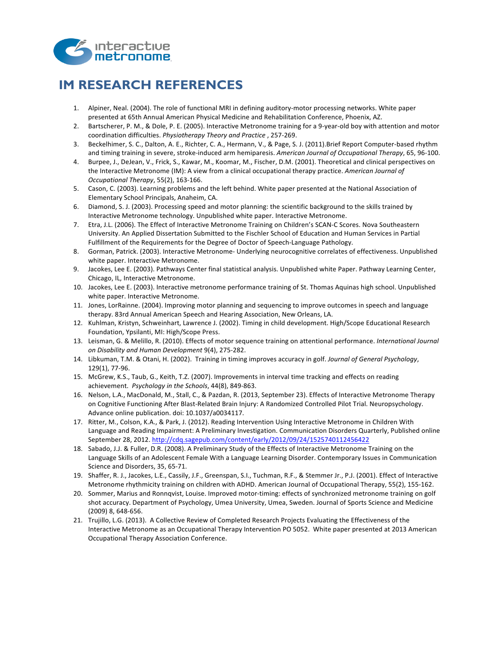

## **IM RESEARCH REFERENCES**

- 1. Alpiner, Neal. (2004). The role of functional MRI in defining auditory-motor processing networks. White paper presented at 65th Annual American Physical Medicine and Rehabilitation Conference, Phoenix, AZ.
- 2. Bartscherer, P. M., & Dole, P. E. (2005). Interactive Metronome training for a 9-year-old boy with attention and motor coordination difficulties. *Physiotherapy Theory and Practice*, 257-269.
- 3. Beckelhimer, S. C., Dalton, A. E., Richter, C. A., Hermann, V., & Page, S. J. (2011).Brief Report Computer-based rhythm and timing training in severe, stroke-induced arm hemiparesis. American Journal of Occupational Therapy, 65, 96-100.
- 4. Burpee, J., DeJean, V., Frick, S., Kawar, M., Koomar, M., Fischer, D.M. (2001). Theoretical and clinical perspectives on the Interactive Metronome (IM): A view from a clinical occupational therapy practice. American Journal of *Occupational Therapy*, 55(2), 163-166.
- 5. Cason, C. (2003). Learning problems and the left behind. White paper presented at the National Association of Elementary School Principals, Anaheim, CA.
- 6. Diamond, S. J. (2003). Processing speed and motor planning: the scientific background to the skills trained by Interactive Metronome technology. Unpublished white paper. Interactive Metronome.
- 7. Etra, J.L. (2006). The Effect of Interactive Metronome Training on Children's SCAN-C Scores. Nova Southeastern University. An Applied Dissertation Submitted to the Fischler School of Education and Human Services in Partial Fulfillment of the Requirements for the Degree of Doctor of Speech-Language Pathology.
- 8. Gorman, Patrick. (2003). Interactive Metronome- Underlying neurocognitive correlates of effectiveness. Unpublished white paper. Interactive Metronome.
- 9. Jacokes, Lee E. (2003). Pathways Center final statistical analysis. Unpublished white Paper. Pathway Learning Center, Chicago, IL, Interactive Metronome.
- 10. Jacokes, Lee E. (2003). Interactive metronome performance training of St. Thomas Aquinas high school. Unpublished white paper. Interactive Metronome.
- 11. Jones, LorRainne. (2004). Improving motor planning and sequencing to improve outcomes in speech and language therapy. 83rd Annual American Speech and Hearing Association, New Orleans, LA.
- 12. Kuhlman, Kristyn, Schweinhart, Lawrence J. (2002). Timing in child development. High/Scope Educational Research Foundation, Ypsilanti, MI: High/Scope Press.
- 13. Leisman, G. & Melillo, R. (2010). Effects of motor sequence training on attentional performance. *International Journal on Disability and Human Development* 9(4), 275-282.
- 14. Libkuman, T.M. & Otani, H. (2002). Training in timing improves accuracy in golf. Journal of General Psychology, 129(1), 77-96.
- 15. McGrew, K.S., Taub, G., Keith, T.Z. (2007). Improvements in interval time tracking and effects on reading achievement. *Psychology in the Schools*, 44(8), 849-863.
- 16. Nelson, L.A., MacDonald, M., Stall, C., & Pazdan, R. (2013, September 23). Effects of Interactive Metronome Therapy on Cognitive Functioning After Blast-Related Brain Injury: A Randomized Controlled Pilot Trial. Neuropsychology. Advance online publication. doi: 10.1037/a0034117.
- 17. Ritter, M., Colson, K.A., & Park, J. (2012). Reading Intervention Using Interactive Metronome in Children With Language and Reading Impairment: A Preliminary Investigation. Communication Disorders Quarterly, Published online September 28, 2012. http://cdq.sagepub.com/content/early/2012/09/24/1525740112456422
- 18. Sabado, J.J. & Fuller, D.R. (2008). A Preliminary Study of the Effects of Interactive Metronome Training on the Language Skills of an Adolescent Female With a Language Learning Disorder. Contemporary Issues in Communication Science and Disorders, 35, 65-71.
- 19. Shaffer, R. J., Jacokes, L.E., Cassily, J.F., Greenspan, S.I., Tuchman, R.F., & Stemmer Jr., P.J. (2001). Effect of Interactive Metronome rhythmicity training on children with ADHD. American Journal of Occupational Therapy, 55(2), 155-162.
- 20. Sommer, Marius and Ronnqvist, Louise. Improved motor-timing: effects of synchronized metronome training on golf shot accuracy. Department of Psychology, Umea University, Umea, Sweden. Journal of Sports Science and Medicine (2009) 8, 648-656.
- 21. Trujillo, L.G. (2013). A Collective Review of Completed Research Projects Evaluating the Effectiveness of the Interactive Metronome as an Occupational Therapy Intervention PO 5052. White paper presented at 2013 American Occupational Therapy Association Conference.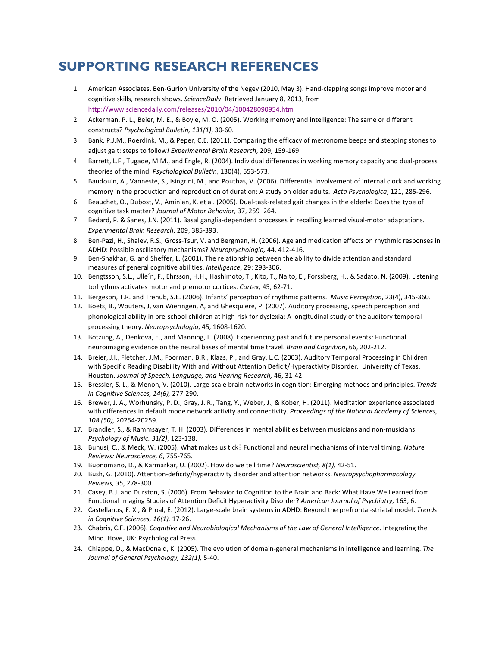## **SUPPORTING RESEARCH REFERENCES**

- 1. American Associates, Ben-Gurion University of the Negev (2010, May 3). Hand-clapping songs improve motor and cognitive skills, research shows. ScienceDaily. Retrieved January 8, 2013, from http://www.sciencedaily.com/releases/2010/04/100428090954.htm
- 2. Ackerman, P. L., Beier, M. E., & Boyle, M. O. (2005). Working memory and intelligence: The same or different constructs? *Psychological Bulletin, 131(1)*, 30-60.
- 3. Bank, P.J.M., Roerdink, M., & Peper, C.E. (2011). Comparing the efficacy of metronome beeps and stepping stones to adjust gait: steps to follow! Experimental Brain Research, 209, 159-169.
- 4. Barrett, L.F., Tugade, M.M., and Engle, R. (2004). Individual differences in working memory capacity and dual-process theories of the mind. Psychological Bulletin, 130(4), 553-573.
- 5. Baudouin, A., Vanneste, S., Isingrini, M., and Pouthas, V. (2006). Differential involvement of internal clock and working memory in the production and reproduction of duration: A study on older adults. Acta Psychologica, 121, 285-296.
- 6. Beauchet, O., Dubost, V., Aminian, K. et al. (2005). Dual-task-related gait changes in the elderly: Does the type of cognitive task matter? *Journal of Motor Behavior*, 37, 259-264.
- 7. Bedard, P. & Sanes, J.N. (2011). Basal ganglia-dependent processes in recalling learned visual-motor adaptations. *Experimental Brain Research*, 209, 385-393.
- 8. Ben-Pazi, H., Shalev, R.S., Gross-Tsur, V. and Bergman, H. (2006). Age and medication effects on rhythmic responses in ADHD: Possible oscillatory mechanisms? *Neuropsychologia*, 44, 412-416.
- 9. Ben-Shakhar, G. and Sheffer, L. (2001). The relationship between the ability to divide attention and standard measures of general cognitive abilities. Intelligence, 29: 293-306.
- 10. Bengtsson, S.L., Ulle'n, F., Ehrsson, H.H., Hashimoto, T., Kito, T., Naito, E., Forssberg, H., & Sadato, N. (2009). Listening torhythms activates motor and premotor cortices. Cortex, 45, 62-71.
- 11. Bergeson, T.R. and Trehub, S.E. (2006). Infants' perception of rhythmic patterns. *Music Perception*, 23(4), 345-360.
- 12. Boets, B., Wouters, J, van Wieringen, A, and Ghesquiere, P. (2007). Auditory processing, speech perception and phonological ability in pre-school children at high-risk for dyslexia: A longitudinal study of the auditory temporal processing theory. Neuropsychologia, 45, 1608-1620.
- 13. Botzung, A., Denkova, E., and Manning, L. (2008). Experiencing past and future personal events: Functional neuroimaging evidence on the neural bases of mental time travel. *Brain and Cognition*, 66, 202-212.
- 14. Breier, J.I., Fletcher, J.M., Foorman, B.R., Klaas, P., and Gray, L.C. (2003). Auditory Temporal Processing in Children with Specific Reading Disability With and Without Attention Deficit/Hyperactivity Disorder. University of Texas, Houston. Journal of Speech, Language, and Hearing Research, 46, 31-42.
- 15. Bressler, S. L., & Menon, V. (2010). Large-scale brain networks in cognition: Emerging methods and principles. Trends *in Cognitive Sciences, 14(6),* 277-290.
- 16. Brewer, J. A., Worhunsky, P. D., Gray, J. R., Tang, Y., Weber, J., & Kober, H. (2011). Meditation experience associated with differences in default mode network activity and connectivity. Proceedings of the National Academy of Sciences, *108 (50),* 20254-20259.
- 17. Brandler, S., & Rammsayer, T. H. (2003). Differences in mental abilities between musicians and non-musicians. *Psychology of Music, 31(2),* 123-138.
- 18. Buhusi, C., & Meck, W. (2005). What makes us tick? Functional and neural mechanisms of interval timing. Nature *Reviews: Neuroscience, 6*, 755-765.
- 19. Buonomano, D., & Karmarkar, U. (2002). How do we tell time? *Neuroscientist, 8(1), 42-51.*
- 20. Bush, G. (2010). Attention-deficity/hyperactivity disorder and attention networks. *Neuropsychopharmacology Reviews, 35*, 278-300.
- 21. Casey, B.J. and Durston, S. (2006). From Behavior to Cognition to the Brain and Back: What Have We Learned from Functional Imaging Studies of Attention Deficit Hyperactivity Disorder? American Journal of Psychiatry, 163, 6.
- 22. Castellanos, F. X., & Proal, E. (2012). Large-scale brain systems in ADHD: Beyond the prefrontal-striatal model. Trends *in Cognitive Sciences, 16(1),* 17-26.
- 23. Chabris, C.F. (2006). *Cognitive and Neurobiological Mechanisms of the Law of General Intelligence*. Integrating the Mind. Hove, UK: Psychological Press.
- 24. Chiappe, D., & MacDonald, K. (2005). The evolution of domain-general mechanisms in intelligence and learning. The Journal of General Psychology, 132(1), 5-40.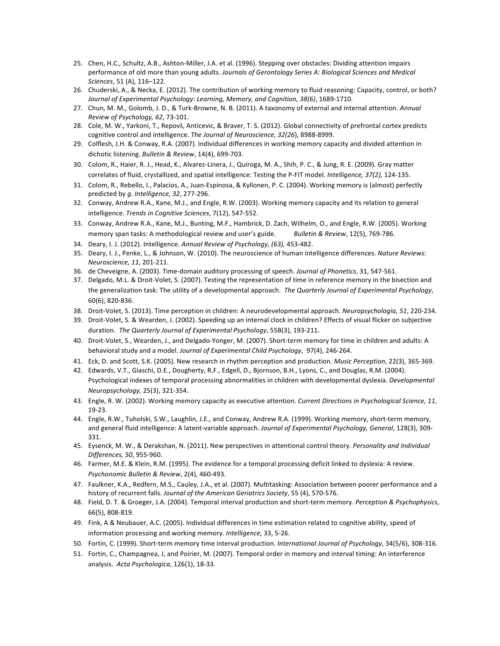- 25. Chen, H.C., Schultz, A.B., Ashton-Miller, J.A. et al. (1996). Stepping over obstacles: Dividing attention impairs performance of old more than young adults. Journals of Gerontology Series A: Biological Sciences and Medical *Sciences*, 51 (A), 116–122.
- 26. Chuderski, A., & Necka, E. (2012). The contribution of working memory to fluid reasoning: Capacity, control, or both? Journal of Experimental Psychology: Learning, Memory, and Cognition, 38(6), 1689-1710.
- 27. Chun, M. M., Golomb, J. D., & Turk-Browne, N. B. (2011). A taxonomy of external and internal attention. Annual *Review of Psychology, 62*, 73-101.
- 28. Cole, M. W., Yarkoni, T., Repovš, Anticevic, & Braver, T. S. (2012). Global connectivity of prefrontal cortex predicts cognitive control and intelligence. The Journal of Neuroscience, 32(26), 8988-8999.
- 29. Colflesh, J.H. & Conway, R.A. (2007). Individual differences in working memory capacity and divided attention in dichotic listening. Bulletin & Review, 14(4), 699-703.
- 30. Colom, R., Haier, R. J., Head, K., Alvarez-Linera, J., Quiroga, M. A., Shih, P. C., & Jung, R. E. (2009). Gray matter correlates of fluid, crystallized, and spatial intelligence: Testing the P-FIT model. Intelligence, 37(2), 124-135.
- 31. Colom, R., Rebello, I., Palacios, A., Juan-Espinosa, & Kyllonen, P. C. (2004). Working memory is (almost) perfectly predicted by *q*. Intelligence, 32, 277-296.
- 32. Conway, Andrew R.A., Kane, M.J., and Engle, R.W. (2003). Working memory capacity and its relation to general intelligence. *Trends in Cognitive Sciences*, 7(12), 547-552.
- 33. Conway, Andrew R.A., Kane, M.J., Bunting, M.F., Hambrick, D. Zach, Wilhelm, O., and Engle, R.W. (2005). Working memory span tasks: A methodological review and user's guide. *Bulletin & Review*, 12(5), 769-786.
- 34. Deary, I. J. (2012). Intelligence. Annual Review of Psychology, (63), 453-482.
- 35. Deary, I. J., Penke, L., & Johnson, W. (2010). The neuroscience of human intelligence differences. Nature Reviews: *Neuroscience, 11*, 201-211.
- 36. de Cheveigne, A. (2003). Time-domain auditory processing of speech. *Journal of Phonetics*, 31, 547-561.
- 37. Delgado, M.L. & Droit-Volet, S. (2007). Testing the representation of time in reference memory in the bisection and the generalization task: The utility of a developmental approach. The Quarterly Journal of Experimental Psychology, 60(6), 820-836.
- 38. Droit-Volet, S. (2013). Time perception in children: A neurodevelopmental approach. *Neuropsychologia, 51*, 220-234.
- 39. Droit-Volet, S. & Wearden, J. (2002). Speeding up an internal clock in children? Effects of visual flicker on subjective duration. The Quarterly Journal of Experimental Psychology, 55B(3), 193-211.
- 40. Droit-Volet, S., Wearden, J., and Delgado-Yonger, M. (2007). Short-term memory for time in children and adults: A behavioral study and a model. *Journal of Experimental Child Psychology*, 97(4), 246-264.
- 41. Eck, D. and Scott, S.K. (2005). New research in rhythm perception and production. *Music Perception*, 22(3), 365-369.
- 42. Edwards, V.T., Giaschi, D.E., Dougherty, R.F., Edgell, D., Bjornson, B.H., Lyons, C., and Douglas, R.M. (2004). Psychological indexes of temporal processing abnormalities in children with developmental dyslexia. *Developmental Neuropsychology,* 25(3), 321-354.
- 43. Engle, R. W. (2002). Working memory capacity as executive attention. Current Directions in Psychological Science, 11, 19-23.
- 44. Engle, R.W., Tuholski, S.W., Laughlin, J.E., and Conway, Andrew R.A. (1999). Working memory, short-term memory, and general fluid intelligence: A latent-variable approach. *Journal of Experimental Psychology, General*, 128(3), 309-331.
- 45. Eysenck, M. W., & Derakshan, N. (2011). New perspectives in attentional control theory. Personality and Individual *Differences, 50*, 955-960.
- 46. Farmer, M.E. & Klein, R.M. (1995). The evidence for a temporal processing deficit linked to dyslexia: A review. *Psychonomic Bulletin & Review*, 2(4), 460-493.
- 47. Faulkner, K.A., Redfern, M.S., Cauley, J.A., et al. (2007). Multitasking: Association between poorer performance and a history of recurrent falls. Journal of the American Geriatrics Society, 55 (4), 570-576.
- 48. Field, D. T. & Groeger, J.A. (2004). Temporal interval production and short-term memory. Perception & Psychophysics, 66(5), 808-819.
- 49. Fink, A & Neubauer, A.C. (2005). Individual differences in time estimation related to cognitive ability, speed of information processing and working memory. Intelligence, 33, 5-26.
- 50. Fortin, C. (1999). Short-term memory time interval production. International Journal of Psychology, 34(5/6), 308-316.
- 51. Fortin, C., Champagnea, J, and Poirier, M. (2007). Temporal order in memory and interval timing: An interference analysis. Acta Psychologica, 126(1), 18-33.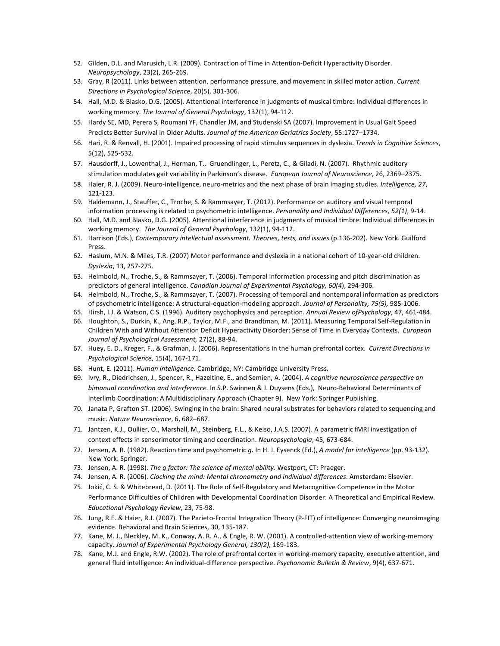- 52. Gilden, D.L. and Marusich, L.R. (2009). Contraction of Time in Attention-Deficit Hyperactivity Disorder. *Neuropsychology*, 23(2), 265-269.
- 53. Gray, R (2011). Links between attention, performance pressure, and movement in skilled motor action. *Current Directions in Psychological Science*, 20(5), 301-306.
- 54. Hall, M.D. & Blasko, D.G. (2005). Attentional interference in judgments of musical timbre: Individual differences in working memory. The Journal of General Psychology, 132(1), 94-112.
- 55. Hardy SE, MD, Perera S, Roumani YF, Chandler JM, and Studenski SA (2007). Improvement in Usual Gait Speed Predicts Better Survival in Older Adults. *Journal of the American Geriatrics Society*, 55:1727–1734.
- 56. Hari, R. & Renvall, H. (2001). Impaired processing of rapid stimulus sequences in dyslexia. Trends in Cognitive Sciences, 5(12), 525-532.
- 57. Hausdorff, J., Lowenthal, J., Herman, T., Gruendlinger, L., Peretz, C., & Giladi, N. (2007). Rhythmic auditory stimulation modulates gait variability in Parkinson's disease. *European Journal of Neuroscience*, 26, 2369-2375.
- 58. Haier, R. J. (2009). Neuro-intelligence, neuro-metrics and the next phase of brain imaging studies. Intelligence, 27, 121-123.
- 59. Haldemann, J., Stauffer, C., Troche, S. & Rammsayer, T. (2012). Performance on auditory and visual temporal information processing is related to psychometric intelligence. *Personality and Individual Differences, 52(1)*, 9-14.
- 60. Hall, M.D. and Blasko, D.G. (2005). Attentional interference in judgments of musical timbre: Individual differences in working memory. The Journal of General Psychology, 132(1), 94-112.
- 61. Harrison (Eds.), Contemporary intellectual assessment. Theories, tests, and issues (p.136-202). New York. Guilford Press.
- 62. Haslum, M.N. & Miles, T.R. (2007) Motor performance and dyslexia in a national cohort of 10-year-old children. *Dyslexia*, 13, 257-275.
- 63. Helmbold, N., Troche, S., & Rammsayer, T. (2006). Temporal information processing and pitch discrimination as predictors of general intelligence. *Canadian Journal of Experimental Psychology, 60(4)*, 294-306.
- 64. Helmbold, N., Troche, S., & Rammsayer, T. (2007). Processing of temporal and nontemporal information as predictors of psychometric intelligence: A structural-equation-modeling approach. *Journal of Personality, 75(5),* 985-1006.
- 65. Hirsh, I.J. & Watson, C.S. (1996). Auditory psychophysics and perception. Annual Review ofPsychology, 47, 461-484.
- 66. Houghton, S., Durkin, K., Ang, R.P., Taylor, M.F., and Brandtman, M. (2011). Measuring Temporal Self-Regulation in Children With and Without Attention Deficit Hyperactivity Disorder: Sense of Time in Everyday Contexts. *European Journal of Psychological Assessment,* 27(2), 88-94.
- 67. Huey, E. D., Kreger, F., & Grafman, J. (2006). Representations in the human prefrontal cortex. Current Directions in *Psychological Science*, 15(4), 167-171.
- 68. Hunt, E. (2011). *Human intelligence.* Cambridge, NY: Cambridge University Press.
- 69. Ivry, R., Diedrichsen, J., Spencer, R., Hazeltine, E., and Semien, A. (2004). A cognitive neuroscience perspective on *bimanual coordination and interference.* In S.P. Swinnen & J. Duysens (Eds.), Neuro-Behavioral Determinants of Interlimb Coordination: A Multidisciplinary Approach (Chapter 9). New York: Springer Publishing.
- 70. Janata P, Grafton ST. (2006). Swinging in the brain: Shared neural substrates for behaviors related to sequencing and music. *Nature Neuroscience*, 6, 682–687.
- 71. Jantzen, K.J., Oullier, O., Marshall, M., Steinberg, F.L., & Kelso, J.A.S. (2007). A parametric fMRI investigation of context effects in sensorimotor timing and coordination. Neuropsychologia, 45, 673-684.
- 72. Jensen, A. R. (1982). Reaction time and psychometric *q*. In H. J. Eysenck (Ed.), *A model for intelligence* (pp. 93-132). New York: Springer.
- 73. Jensen, A. R. (1998). *The g factor: The science of mental ability.* Westport, CT: Praeger.
- 74. Jensen, A. R. (2006). *Clocking the mind: Mental chronometry and individual differences*. Amsterdam: Elsevier.
- 75. Jokić, C. S. & Whitebread, D. (2011). The Role of Self-Regulatory and Metacognitive Competence in the Motor Performance Difficulties of Children with Developmental Coordination Disorder: A Theoretical and Empirical Review. *Educational Psychology Review*, 23, 75-98.
- 76. Jung, R.E. & Haier, R.J. (2007). The Parieto-Frontal Integration Theory (P-FIT) of intelligence: Converging neuroimaging evidence. Behavioral and Brain Sciences, 30, 135-187.
- 77. Kane, M. J., Bleckley, M. K., Conway, A. R. A., & Engle, R. W. (2001). A controlled-attention view of working-memory capacity. Journal of Experimental Psychology General, 130(2), 169-183.
- 78. Kane, M.J. and Engle, R.W. (2002). The role of prefrontal cortex in working-memory capacity, executive attention, and general fluid intelligence: An individual-difference perspective. *Psychonomic Bulletin & Review*, 9(4), 637-671.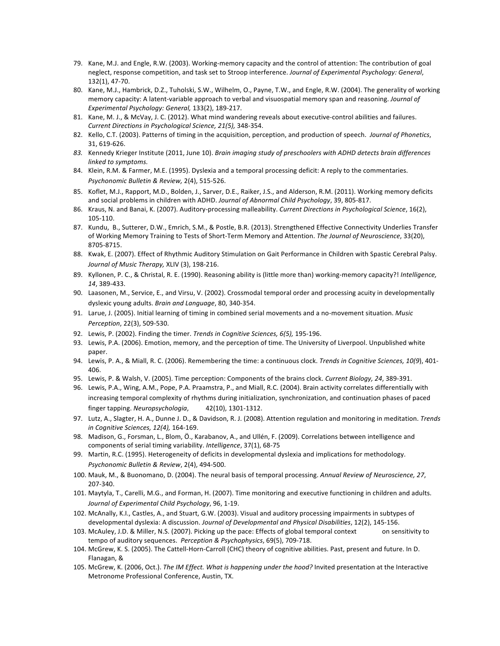- 79. Kane, M.J. and Engle, R.W. (2003). Working-memory capacity and the control of attention: The contribution of goal neglect, response competition, and task set to Stroop interference. Journal of Experimental Psychology: General, 132(1), 47-70.
- 80. Kane, M.J., Hambrick, D.Z., Tuholski, S.W., Wilhelm, O., Payne, T.W., and Engle, R.W. (2004). The generality of working memory capacity: A latent-variable approach to verbal and visuospatial memory span and reasoning. *Journal of Experimental Psychology: General,* 133(2), 189-217.
- 81. Kane, M. J., & McVay, J. C. (2012). What mind wandering reveals about executive-control abilities and failures. *Current Directions in Psychological Science, 21(5),* 348-354.
- 82. Kello, C.T. (2003). Patterns of timing in the acquisition, perception, and production of speech. *Journal of Phonetics*, 31, 619-626.
- 83. Kennedy Krieger Institute (2011, June 10). Brain imaging study of preschoolers with ADHD detects brain differences *linked to symptoms.*
- 84. Klein, R.M. & Farmer, M.E. (1995). Dyslexia and a temporal processing deficit: A reply to the commentaries. *Psychonomic Bulletin & Review,* 2(4), 515-526.
- 85. Koflet, M.J., Rapport, M.D., Bolden, J., Sarver, D.E., Raiker, J.S., and Alderson, R.M. (2011). Working memory deficits and social problems in children with ADHD. Journal of Abnormal Child Psychology, 39, 805-817.
- 86. Kraus, N. and Banai, K. (2007). Auditory-processing malleability. *Current Directions in Psychological Science*, 16(2), 105-110.
- 87. Kundu, B., Sutterer, D.W., Emrich, S.M., & Postle, B.R. (2013). Strengthened Effective Connectivity Underlies Transfer of Working Memory Training to Tests of Short-Term Memory and Attention. The Journal of Neuroscience, 33(20), 8705-8715.
- 88. Kwak, E. (2007). Effect of Rhythmic Auditory Stimulation on Gait Performance in Children with Spastic Cerebral Palsy. Journal of Music Therapy, XLIV (3), 198-216.
- 89. Kyllonen, P. C., & Christal, R. E. (1990). Reasoning ability is (little more than) working-memory capacity?! Intelligence, *14*, 389-433.
- 90. Laasonen, M., Service, E., and Virsu, V. (2002). Crossmodal temporal order and processing acuity in developmentally dyslexic young adults. *Brain and Language*, 80, 340-354.
- 91. Larue, J. (2005). Initial learning of timing in combined serial movements and a no-movement situation. Music *Perception*, 22(3), 509-530.
- 92. Lewis, P. (2002). Finding the timer. *Trends in Cognitive Sciences, 6(5)*, 195-196.
- 93. Lewis, P.A. (2006). Emotion, memory, and the perception of time. The University of Liverpool. Unpublished white paper.
- 94. Lewis, P. A., & Miall, R. C. (2006). Remembering the time: a continuous clock. Trends in Cognitive Sciences, 10(9), 401-406.
- 95. Lewis, P. & Walsh, V. (2005). Time perception: Components of the brains clock. *Current Biology, 24*, 389-391.
- 96. Lewis, P.A., Wing, A.M., Pope, P.A. Praamstra, P., and Miall, R.C. (2004). Brain activity correlates differentially with increasing temporal complexity of rhythms during initialization, synchronization, and continuation phases of paced finger tapping. Neuropsychologia, 42(10), 1301-1312.
- 97. Lutz, A., Slagter, H. A., Dunne J. D., & Davidson, R. J. (2008). Attention regulation and monitoring in meditation. Trends *in Cognitive Sciences, 12(4),* 164-169.
- 98. Madison, G., Forsman, L., Blom, Ö., Karabanov, A., and Ullén, F. (2009). Correlations between intelligence and components of serial timing variability. *Intelligence*, 37(1), 68-75
- 99. Martin, R.C. (1995). Heterogeneity of deficits in developmental dyslexia and implications for methodology. *Psychonomic Bulletin & Review*, 2(4), 494-500.
- 100. Mauk, M., & Buonomano, D. (2004). The neural basis of temporal processing. Annual Review of Neuroscience, 27, 207-340.
- 101. Maytyla, T., Carelli, M.G., and Forman, H. (2007). Time monitoring and executive functioning in children and adults. *Journal of Experimental Child Psychology*, 96, 1-19.
- 102. McAnally, K.I., Castles, A., and Stuart, G.W. (2003). Visual and auditory processing impairments in subtypes of developmental dyslexia: A discussion. *Journal of Developmental and Physical Disabilities*, 12(2), 145-156.
- 103. McAuley, J.D. & Miller, N.S. (2007). Picking up the pace: Effects of global temporal context on sensitivity to tempo of auditory sequences. *Perception & Psychophysics*, 69(5), 709-718.
- 104. McGrew, K. S. (2005). The Cattell-Horn-Carroll (CHC) theory of cognitive abilities. Past, present and future. In D. Flanagan, &
- 105. McGrew, K. (2006, Oct.). The IM Effect. What is happening under the hood? Invited presentation at the Interactive Metronome Professional Conference, Austin, TX.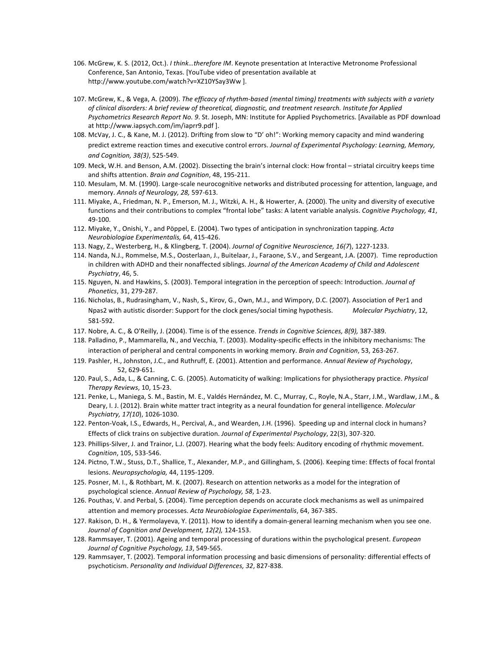- 106. McGrew, K. S. (2012, Oct.). *I think...therefore IM*. Keynote presentation at Interactive Metronome Professional Conference, San Antonio, Texas. [YouTube video of presentation available at http://www.youtube.com/watch?v=XZ10YSay3Ww ].
- 107. McGrew, K., & Vega, A. (2009). The efficacy of rhythm-based (mental timing) treatments with subjects with a variety of clinical disorders: A brief review of theoretical, diagnostic, and treatment research. Institute for Applied Psychometrics Research Report No. 9. St. Joseph, MN: Institute for Applied Psychometrics. [Available as PDF download at http://www.iapsych.com/im/iaprr9.pdf].
- 108. McVay, J. C., & Kane, M. J. (2012). Drifting from slow to "D' oh!": Working memory capacity and mind wandering predict extreme reaction times and executive control errors. *Journal of Experimental Psychology: Learning, Memory, and Cognition, 38(3)*, 525-549.
- 109. Meck, W.H. and Benson, A.M. (2002). Dissecting the brain's internal clock: How frontal striatal circuitry keeps time and shifts attention. *Brain and Cognition*, 48, 195-211.
- 110. Mesulam, M. M. (1990). Large-scale neurocognitive networks and distributed processing for attention, language, and memory. Annals of Neurology, 28, 597-613.
- 111. Miyake, A., Friedman, N. P., Emerson, M. J., Witzki, A. H., & Howerter, A. (2000). The unity and diversity of executive functions and their contributions to complex "frontal lobe" tasks: A latent variable analysis. *Cognitive Psychology, 41*, 49-100.
- 112. Miyake, Y., Onishi, Y., and Pöppel, E. (2004). Two types of anticipation in synchronization tapping. Acta *Neurobiologiae Experimentalis,* 64, 415-426.
- 113. Nagy, Z., Westerberg, H., & Klingberg, T. (2004). Journal of Cognitive Neuroscience, 16(7), 1227-1233.
- 114. Nanda, N.J., Rommelse, M.S., Oosterlaan, J., Buitelaar, J., Faraone, S.V., and Sergeant, J.A. (2007). Time reproduction in children with ADHD and their nonaffected siblings. *Journal of the American Academy of Child and Adolescent Psychiatry*, 46, 5.
- 115. Nguyen, N. and Hawkins, S. (2003). Temporal integration in the perception of speech: Introduction. *Journal of Phonetics*, 31, 279-287.
- 116. Nicholas, B., Rudrasingham, V., Nash, S., Kirov, G., Own, M.J., and Wimpory, D.C. (2007). Association of Per1 and Npas2 with autistic disorder: Support for the clock genes/social timing hypothesis. Molecular Psychiatry, 12, 581-592.
- 117. Nobre, A. C., & O'Reilly, J. (2004). Time is of the essence. *Trends in Cognitive Sciences, 8(9)*, 387-389.
- 118. Palladino, P., Mammarella, N., and Vecchia, T. (2003). Modality-specific effects in the inhibitory mechanisms: The interaction of peripheral and central components in working memory. *Brain and Cognition*, 53, 263-267.
- 119. Pashler, H., Johnston, J.C., and Ruthruff, E. (2001). Attention and performance. Annual Review of Psychology, 52, 629-651.
- 120. Paul, S., Ada, L., & Canning, C. G. (2005). Automaticity of walking: Implications for physiotherapy practice. *Physical Therapy Reviews*, 10, 15-23.
- 121. Penke, L., Maniega, S. M., Bastin, M. E., Valdés Hernández, M. C., Murray, C., Royle, N.A., Starr, J.M., Wardlaw, J.M., & Deary, I. J. (2012). Brain white matter tract integrity as a neural foundation for general intelligence. *Molecular Psychiatry, 17(10*), 1026-1030.
- 122. Penton-Voak, I.S., Edwards, H., Percival, A., and Wearden, J.H. (1996). Speeding up and internal clock in humans? Effects of click trains on subjective duration. *Journal of Experimental Psychology*, 22(3), 307-320.
- 123. Phillips-Silver, J. and Trainor, L.J. (2007). Hearing what the body feels: Auditory encoding of rhythmic movement. *Cognition*, 105, 533-546.
- 124. Pictno, T.W., Stuss, D.T., Shallice, T., Alexander, M.P., and Gillingham, S. (2006). Keeping time: Effects of focal frontal lesions. Neuropsychologia, 44, 1195-1209.
- 125. Posner, M. I., & Rothbart, M. K. (2007). Research on attention networks as a model for the integration of psychological science. Annual Review of Psychology, 58, 1-23.
- 126. Pouthas, V. and Perbal, S. (2004). Time perception depends on accurate clock mechanisms as well as unimpaired attention and memory processes. Acta Neurobiologiae Experimentalis, 64, 367-385.
- 127. Rakison, D. H., & Yermolayeva, Y. (2011). How to identify a domain-general learning mechanism when you see one. Journal of Cognition and Development, 12(2), 124-153.
- 128. Rammsayer, T. (2001). Ageing and temporal processing of durations within the psychological present. *European* Journal of Cognitive Psychology, 13, 549-565.
- 129. Rammsayer, T. (2002). Temporal information processing and basic dimensions of personality: differential effects of psychoticism. Personality and Individual Differences, 32, 827-838.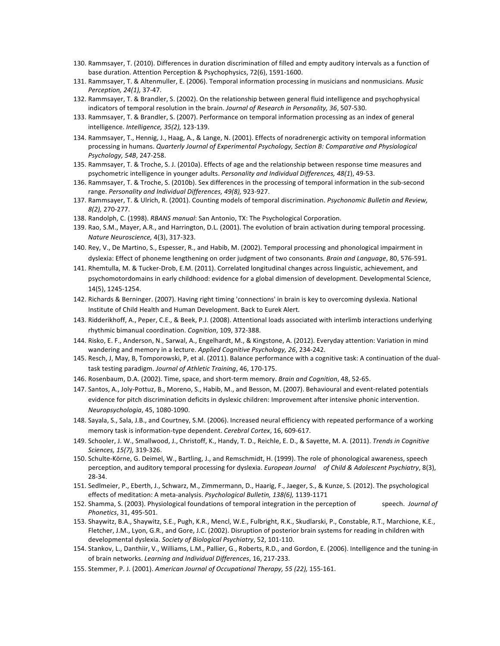- 130. Rammsayer, T. (2010). Differences in duration discrimination of filled and empty auditory intervals as a function of base duration. Attention Perception & Psychophysics, 72(6), 1591-1600.
- 131. Rammsayer, T. & Altenmuller, E. (2006). Temporal information processing in musicians and nonmusicians. Music *Perception, 24(1),* 37-47.
- 132. Rammsayer, T. & Brandler, S. (2002). On the relationship between general fluid intelligence and psychophysical indicators of temporal resolution in the brain. Journal of Research in Personality, 36, 507-530.
- 133. Rammsayer, T. & Brandler, S. (2007). Performance on temporal information processing as an index of general intelligence. Intelligence, 35(2), 123-139.
- 134. Rammsayer, T., Hennig, J., Haag, A., & Lange, N. (2001). Effects of noradrenergic activity on temporal information processing in humans. Quarterly Journal of Experimental Psychology, Section B: Comparative and Physiological *Psychology, 54B*, 247-258.
- 135. Rammsayer, T. & Troche, S. J. (2010a). Effects of age and the relationship between response time measures and psychometric intelligence in younger adults. *Personality and Individual Differences, 48(1)*, 49-53.
- 136. Rammsayer, T. & Troche, S. (2010b). Sex differences in the processing of temporal information in the sub-second range. Personality and Individual Differences, 49(8), 923-927.
- 137. Rammsayer, T. & Ulrich, R. (2001). Counting models of temporal discrimination. *Psychonomic Bulletin and Review, 8(2),* 270-277.
- 138. Randolph, C. (1998). *RBANS manual*: San Antonio, TX: The Psychological Corporation.
- 139. Rao, S.M., Mayer, A.R., and Harrington, D.L. (2001). The evolution of brain activation during temporal processing. *Nature Neuroscience,* 4(3), 317-323.
- 140. Rey, V., De Martino, S., Espesser, R., and Habib, M. (2002). Temporal processing and phonological impairment in dyslexia: Effect of phoneme lengthening on order judgment of two consonants. Brain and Language, 80, 576-591.
- 141. Rhemtulla, M. & Tucker-Drob, E.M. (2011). Correlated longitudinal changes across linguistic, achievement, and psychomotordomains in early childhood: evidence for a global dimension of development. Developmental Science, 14(5), 1245-1254.
- 142. Richards & Berninger. (2007). Having right timing 'connections' in brain is key to overcoming dyslexia. National Institute of Child Health and Human Development. Back to Eurek Alert.
- 143. Ridderikhoff, A., Peper, C.E., & Beek, P.J. (2008). Attentional loads associated with interlimb interactions underlying rhythmic bimanual coordination. *Cognition*, 109, 372-388.
- 144. Risko, E. F., Anderson, N., Sarwal, A., Engelhardt, M., & Kingstone, A. (2012). Everyday attention: Variation in mind wandering and memory in a lecture. Applied Cognitive Psychology, 26, 234-242.
- 145. Resch, J, May, B, Tomporowski, P, et al. (2011). Balance performance with a cognitive task: A continuation of the dualtask testing paradigm. Journal of Athletic Training, 46, 170-175.
- 146. Rosenbaum, D.A. (2002). Time, space, and short-term memory. *Brain and Cognition*, 48, 52-65.
- 147. Santos, A., Joly-Pottuz, B., Moreno, S., Habib, M., and Besson, M. (2007). Behavioural and event-related potentials evidence for pitch discrimination deficits in dyslexic children: Improvement after intensive phonic intervention. *Neuropsychologia*, 45, 1080-1090.
- 148. Sayala, S., Sala, J.B., and Courtney, S.M. (2006). Increased neural efficiency with repeated performance of a working memory task is information-type dependent. *Cerebral Cortex*, 16, 609-617.
- 149. Schooler, J. W., Smallwood, J., Christoff, K., Handy, T. D., Reichle, E. D., & Sayette, M. A. (2011). Trends in Cognitive *Sciences, 15(7),* 319-326.
- 150. Schulte-Körne, G. Deimel, W., Bartling, J., and Remschmidt, H. (1999). The role of phonological awareness, speech perception, and auditory temporal processing for dyslexia. *European Journal of Child & Adolescent Psychiatry*, 8(3), 28-34.
- 151. Sedlmeier, P., Eberth, J., Schwarz, M., Zimmermann, D., Haarig, F., Jaeger, S., & Kunze, S. (2012). The psychological effects of meditation: A meta-analysis. Psychological Bulletin, 138(6), 1139-1171
- 152. Shamma, S. (2003). Physiological foundations of temporal integration in the perception of speech. *Journal of Phonetics*, 31, 495-501.
- 153. Shaywitz, B.A., Shaywitz, S.E., Pugh, K.R., Mencl, W.E., Fulbright, R.K., Skudlarski, P., Constable, R.T., Marchione, K.E., Fletcher, J.M., Lyon, G.R., and Gore, J.C. (2002). Disruption of posterior brain systems for reading in children with developmental dyslexia. Society of Biological Psychiatry, 52, 101-110.
- 154. Stankov, L., Danthiir, V., Williams, L.M., Pallier, G., Roberts, R.D., and Gordon, E. (2006). Intelligence and the tuning-in of brain networks. *Learning and Individual Differences*, 16, 217-233.
- 155. Stemmer, P. J. (2001). American Journal of Occupational Therapy, 55 (22), 155-161.